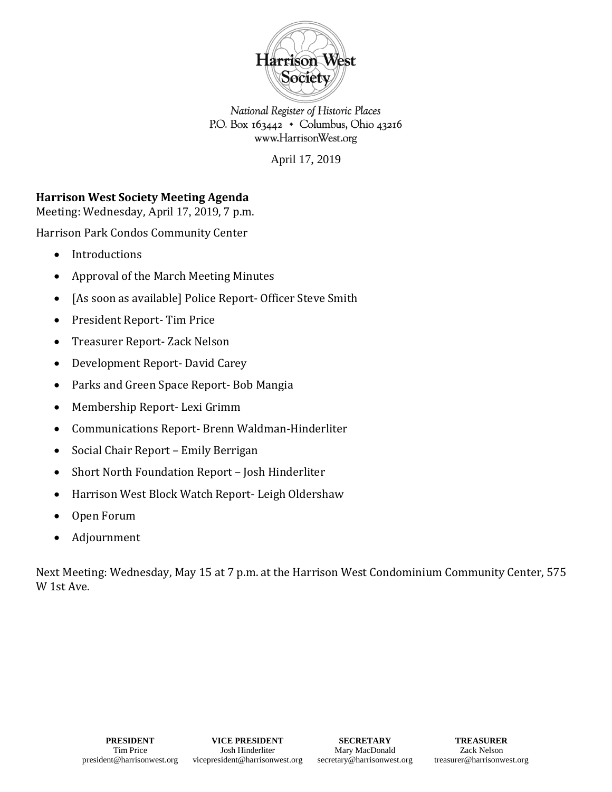

National Register of Historic Places P.O. Box  $163442 \cdot$  Columbus, Ohio 43216 www.HarrisonWest.org

April 17, 2019

## **Harrison West Society Meeting Agenda**

Meeting: Wednesday, April 17, 2019, 7 p.m.

Harrison Park Condos Community Center

- Introductions
- Approval of the March Meeting Minutes
- [As soon as available] Police Report- Officer Steve Smith
- President Report- Tim Price
- Treasurer Report- Zack Nelson
- Development Report- David Carey
- Parks and Green Space Report- Bob Mangia
- Membership Report- Lexi Grimm
- Communications Report- Brenn Waldman-Hinderliter
- Social Chair Report Emily Berrigan
- Short North Foundation Report Josh Hinderliter
- Harrison West Block Watch Report- Leigh Oldershaw
- Open Forum
- Adjournment

Next Meeting: Wednesday, May 15 at 7 p.m. at the Harrison West Condominium Community Center, 575 W 1st Ave.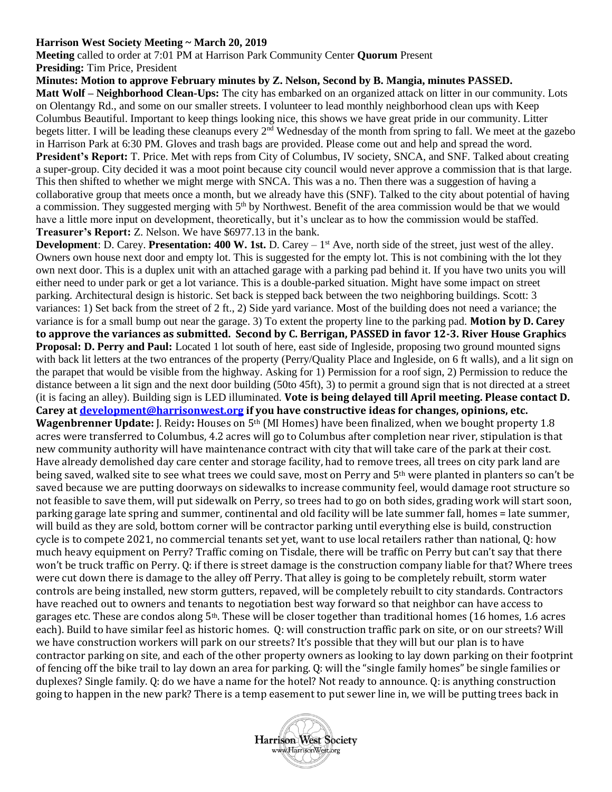## **Harrison West Society Meeting ~ March 20, 2019**

**Meeting** called to order at 7:01 PM at Harrison Park Community Center **Quorum** Present **Presiding:** Tim Price, President

**Minutes: Motion to approve February minutes by Z. Nelson, Second by B. Mangia, minutes PASSED. Matt Wolf – Neighborhood Clean-Ups:** The city has embarked on an organized attack on litter in our community. Lots on Olentangy Rd., and some on our smaller streets. I volunteer to lead monthly neighborhood clean ups with Keep Columbus Beautiful. Important to keep things looking nice, this shows we have great pride in our community. Litter begets litter. I will be leading these cleanups every 2<sup>nd</sup> Wednesday of the month from spring to fall. We meet at the gazebo in Harrison Park at 6:30 PM. Gloves and trash bags are provided. Please come out and help and spread the word. **President's Report:** T. Price. Met with reps from City of Columbus, IV society, SNCA, and SNF. Talked about creating a super-group. City decided it was a moot point because city council would never approve a commission that is that large. This then shifted to whether we might merge with SNCA. This was a no. Then there was a suggestion of having a collaborative group that meets once a month, but we already have this (SNF). Talked to the city about potential of having a commission. They suggested merging with 5<sup>th</sup> by Northwest. Benefit of the area commission would be that we would have a little more input on development, theoretically, but it's unclear as to how the commission would be staffed. **Treasurer's Report:** Z. Nelson. We have \$6977.13 in the bank.

**Development**: D. Carey. **Presentation: 400 W. 1st.** D. Carey – 1<sup>st</sup> Ave, north side of the street, just west of the alley. Owners own house next door and empty lot. This is suggested for the empty lot. This is not combining with the lot they own next door. This is a duplex unit with an attached garage with a parking pad behind it. If you have two units you will either need to under park or get a lot variance. This is a double-parked situation. Might have some impact on street parking. Architectural design is historic. Set back is stepped back between the two neighboring buildings. Scott: 3 variances: 1) Set back from the street of 2 ft., 2) Side yard variance. Most of the building does not need a variance; the variance is for a small bump out near the garage. 3) To extent the property line to the parking pad. **Motion by D. Carey to approve the variances as submitted. Second by C. Berrigan, PASSED in favor 12-3. River House Graphics Proposal: D. Perry and Paul:** Located 1 lot south of here, east side of Ingleside, proposing two ground mounted signs with back lit letters at the two entrances of the property (Perry/Quality Place and Ingleside, on 6 ft walls), and a lit sign on the parapet that would be visible from the highway. Asking for 1) Permission for a roof sign, 2) Permission to reduce the distance between a lit sign and the next door building (50to 45ft), 3) to permit a ground sign that is not directed at a street (it is facing an alley). Building sign is LED illuminated. **Vote is being delayed till April meeting. Please contact D. Carey a[t development@harrisonwest.org](mailto:development@harrisonwest.org) if you have constructive ideas for changes, opinions, etc. Wagenbrenner Update:** J. Reidy**:** Houses on 5th (MI Homes) have been finalized, when we bought property 1.8 acres were transferred to Columbus, 4.2 acres will go to Columbus after completion near river, stipulation is that new community authority will have maintenance contract with city that will take care of the park at their cost. Have already demolished day care center and storage facility, had to remove trees, all trees on city park land are being saved, walked site to see what trees we could save, most on Perry and 5th were planted in planters so can't be saved because we are putting doorways on sidewalks to increase community feel, would damage root structure so not feasible to save them, will put sidewalk on Perry, so trees had to go on both sides, grading work will start soon, parking garage late spring and summer, continental and old facility will be late summer fall, homes = late summer, will build as they are sold, bottom corner will be contractor parking until everything else is build, construction cycle is to compete 2021, no commercial tenants set yet, want to use local retailers rather than national, Q: how much heavy equipment on Perry? Traffic coming on Tisdale, there will be traffic on Perry but can't say that there won't be truck traffic on Perry. Q: if there is street damage is the construction company liable for that? Where trees were cut down there is damage to the alley off Perry. That alley is going to be completely rebuilt, storm water controls are being installed, new storm gutters, repaved, will be completely rebuilt to city standards. Contractors have reached out to owners and tenants to negotiation best way forward so that neighbor can have access to garages etc. These are condos along 5th. These will be closer together than traditional homes (16 homes, 1.6 acres each). Build to have similar feel as historic homes. Q: will construction traffic park on site, or on our streets? Will we have construction workers will park on our streets? It's possible that they will but our plan is to have contractor parking on site, and each of the other property owners as looking to lay down parking on their footprint of fencing off the bike trail to lay down an area for parking. Q: will the "single family homes" be single families or duplexes? Single family. Q: do we have a name for the hotel? Not ready to announce. Q: is anything construction going to happen in the new park? There is a temp easement to put sewer line in, we will be putting trees back in